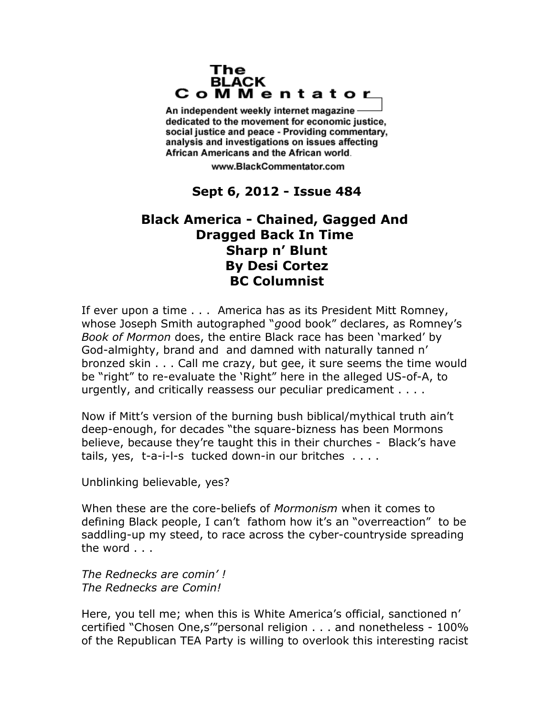#### The **BLACK** CoMMentator

An independent weekly internet magazine dedicated to the movement for economic justice. social justice and peace - Providing commentary, analysis and investigations on issues affecting African Americans and the African world.

www.BlackCommentator.com

# **Sept 6, 2012 - Issue 484**

# **Black America - Chained, Gagged And Dragged Back In Time Sharp n' Blunt By Desi Cortez BC Columnist**

If ever upon a time . . . America has as its President Mitt Romney, whose Joseph Smith autographed "*g*ood book" declares, as Romney's *Book of Mormon* does, the entire Black race has been 'marked' by God-almighty, brand and and damned with naturally tanned n' bronzed skin . . . Call me crazy, but gee, it sure seems the time would be "right" to re-evaluate the 'Right" here in the alleged US-of-A, to urgently, and critically reassess our peculiar predicament . . . .

Now if Mitt's version of the burning bush biblical/mythical truth ain't deep-enough, for decades "the square-bizness has been Mormons believe, because they're taught this in their churches - Black's have tails, yes, t-a-i-l-s tucked down-in our britches . . . .

Unblinking believable, yes?

When these are the core-beliefs of *Mormonism* when it comes to defining Black people, I can't fathom how it's an "overreaction" to be saddling-up my steed, to race across the cyber-countryside spreading the word . . .

*The Rednecks are comin' ! The Rednecks are Comin!*

Here, you tell me; when this is White America's official, sanctioned n' certified "Chosen One,s'"personal religion . . . and nonetheless - 100% of the Republican TEA Party is willing to overlook this interesting racist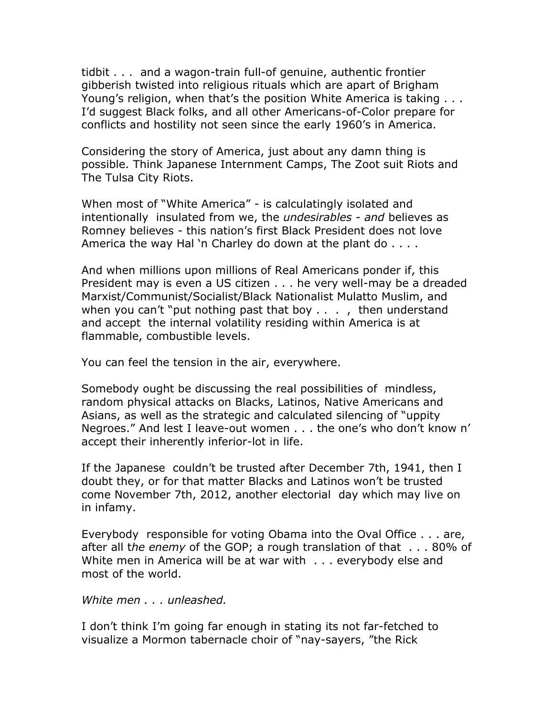tidbit . . . and a wagon-train full-of genuine, authentic frontier gibberish twisted into religious rituals which are apart of Brigham Young's religion, when that's the position White America is taking . . . I'd suggest Black folks, and all other Americans-of-Color prepare for conflicts and hostility not seen since the early 1960's in America.

Considering the story of America, just about any damn thing is possible. Think Japanese Internment Camps, The Zoot suit Riots and The Tulsa City Riots.

When most of "White America" - is calculatingly isolated and intentionally insulated from we, the *undesirables - and* believes as Romney believes - this nation's first Black President does not love America the way Hal 'n Charley do down at the plant do . . . .

And when millions upon millions of Real Americans ponder if, this President may is even a US citizen . . . he very well-may be a dreaded Marxist/Communist/Socialist/Black Nationalist Mulatto Muslim, and when you can't "put nothing past that boy . . . , then understand and accept the internal volatility residing within America is at flammable, combustible levels.

You can feel the tension in the air, everywhere.

Somebody ought be discussing the real possibilities of mindless, random physical attacks on Blacks, Latinos, Native Americans and Asians, as well as the strategic and calculated silencing of "uppity Negroes." And lest I leave-out women . . . the one's who don't know n' accept their inherently inferior-lot in life.

If the Japanese couldn't be trusted after December 7th, 1941, then I doubt they, or for that matter Blacks and Latinos won't be trusted come November 7th, 2012, another electorial day which may live on in infamy.

Everybody responsible for voting Obama into the Oval Office . . . are, after all t*he enemy* of the GOP; a rough translation of that . . . 80% of White men in America will be at war with . . . everybody else and most of the world.

*White men . . . unleashed.*

I don't think I'm going far enough in stating its not far-fetched to visualize a Mormon tabernacle choir of "nay-sayers, "the Rick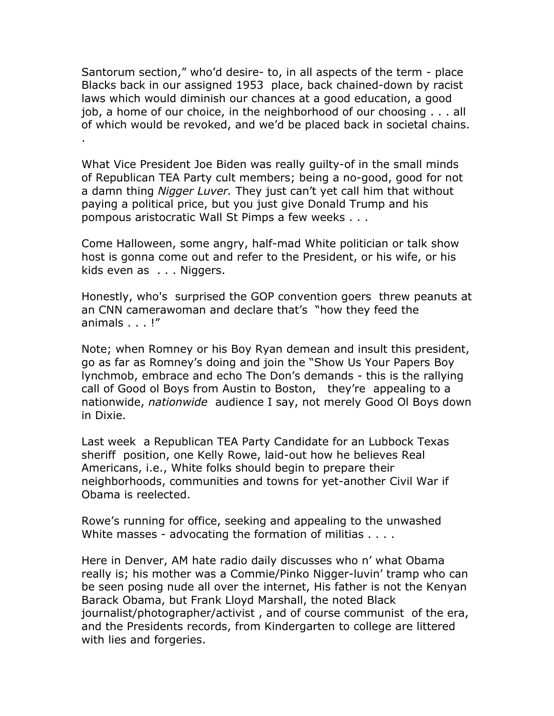Santorum section," who'd desire- to, in all aspects of the term - place Blacks back in our assigned 1953 place, back chained-down by racist laws which would diminish our chances at a good education, a good job, a home of our choice, in the neighborhood of our choosing . . . all of which would be revoked, and we'd be placed back in societal chains. .

What Vice President Joe Biden was really guilty-of in the small minds of Republican TEA Party cult members; being a no-good, good for not a damn thing *Nigger Luver.* They just can't yet call him that without paying a political price, but you just give Donald Trump and his pompous aristocratic Wall St Pimps a few weeks . . .

Come Halloween, some angry, half-mad White politician or talk show host is gonna come out and refer to the President, or his wife, or his kids even as . . . Niggers.

Honestly, who's surprised the GOP convention goers threw peanuts at an CNN camerawoman and declare that's "how they feed the animals . . . !"

Note; when Romney or his Boy Ryan demean and insult this president, go as far as Romney's doing and join the "Show Us Your Papers Boy lynchmob, embrace and echo The Don's demands - this is the rallying call of Good ol Boys from Austin to Boston, they're appealing to a nationwide, *nationwide* audience I say, not merely Good Ol Boys down in Dixie.

Last week a Republican TEA Party Candidate for an Lubbock Texas sheriff position, one Kelly Rowe, laid-out how he believes Real Americans, i.e., White folks should begin to prepare their neighborhoods, communities and towns for yet-another Civil War if Obama is reelected.

Rowe's running for office, seeking and appealing to the unwashed White masses - advocating the formation of militias . . . .

Here in Denver, AM hate radio daily discusses who n' what Obama really is; his mother was a Commie/Pinko Nigger-luvin' tramp who can be seen posing nude all over the internet, His father is not the Kenyan Barack Obama, but Frank Lloyd Marshall, the noted Black journalist/photographer/activist , and of course communist of the era, and the Presidents records, from Kindergarten to college are littered with lies and forgeries.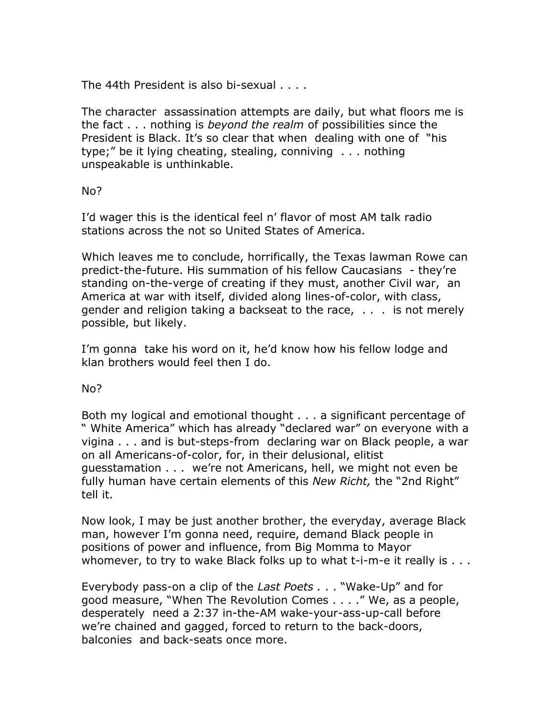The 44th President is also bi-sexual . . . .

The character assassination attempts are daily, but what floors me is the fact . . . nothing is *beyond the realm* of possibilities since the President is Black. It's so clear that when dealing with one of "his type;" be it lying cheating, stealing, conniving . . . nothing unspeakable is unthinkable.

### No?

I'd wager this is the identical feel n' flavor of most AM talk radio stations across the not so United States of America.

Which leaves me to conclude, horrifically, the Texas lawman Rowe can predict-the-future. His summation of his fellow Caucasians - they're standing on-the-verge of creating if they must, another Civil war, an America at war with itself, divided along lines-of-color, with class, gender and religion taking a backseat to the race, . . . is not merely possible, but likely.

I'm gonna take his word on it, he'd know how his fellow lodge and klan brothers would feel then I do.

## No?

Both my logical and emotional thought . . . a significant percentage of " White America" which has already "declared war" on everyone with a vigina . . . and is but-steps-from declaring war on Black people, a war on all Americans-of-color, for, in their delusional, elitist guesstamation . . . we're not Americans, hell, we might not even be fully human have certain elements of this *New Richt,* the "2nd Right" tell it.

Now look, I may be just another brother, the everyday, average Black man, however I'm gonna need, require, demand Black people in positions of power and influence, from Big Momma to Mayor whomever, to try to wake Black folks up to what t-i-m-e it really is . . .

Everybody pass-on a clip of the *Last Poets .* . . "Wake-Up" and for good measure, "When The Revolution Comes . . . ." We, as a people, desperately need a 2:37 in-the-AM wake-your-ass-up-call before we're chained and gagged, forced to return to the back-doors, balconies and back-seats once more.